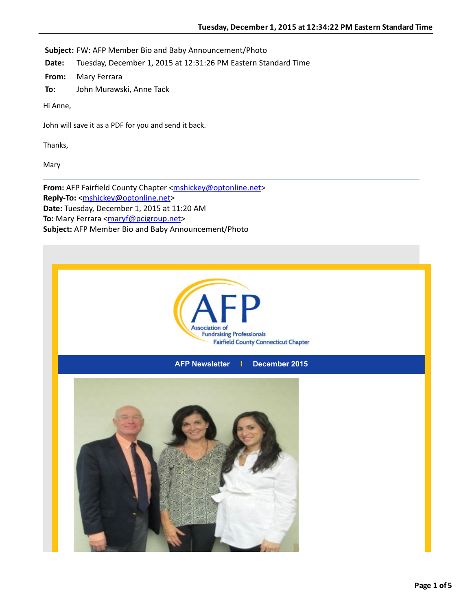

**AFP Newsletter I December 2015**

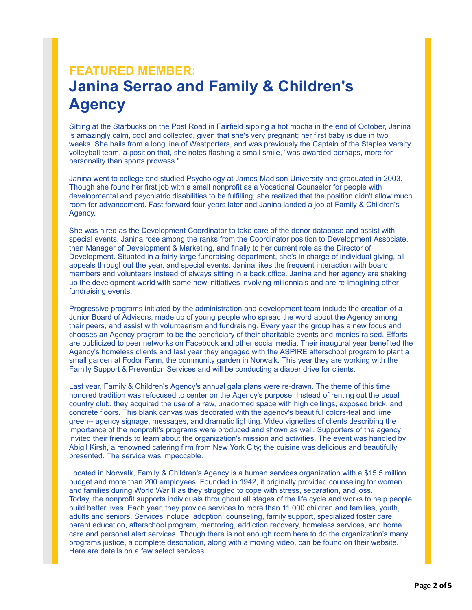## **FEATURED MEMBER: Janina Serrao and Family & Children's Agency**

Sitting at the Starbucks on the Post Road in Fairfield sipping a hot mocha in the end of October, Janina is amazingly calm, cool and collected, given that she's very pregnant; her first baby is due in two weeks. She hails from a long line of Westporters, and was previously the Captain of the Staples Varsity volleyball team, a position that, she notes flashing a small smile, "was awarded perhaps, more for personality than sports prowess."

Janina went to college and studied Psychology at James Madison University and graduated in 2003. Though she found her first job with a small nonprofit as a Vocational Counselor for people with developmental and psychiatric disabilities to be fulfilling, she realized that the position didn't allow much room for advancement. Fast forward four years later and Janina landed a job at Family & Children's Agency.

She was hired as the Development Coordinator to take care of the donor database and assist with special events. Janina rose among the ranks from the Coordinator position to Development Associate, then Manager of Development & Marketing, and finally to her current role as the Director of Development. Situated in a fairly large fundraising department, she's in charge of individual giving, all appeals throughout the year, and special events. Janina likes the frequent interaction with board members and volunteers instead of always sitting in a back office. Janina and her agency are shaking up the development world with some new initiatives involving millennials and are re-imagining other fundraising events.

Progressive programs initiated by the administration and development team include the creation of a Junior Board of Advisors, made up of young people who spread the word about the Agency among their peers, and assist with volunteerism and fundraising. Every year the group has a new focus and chooses an Agency program to be the beneficiary of their charitable events and monies raised. Efforts are publicized to peer networks on Facebook and other social media. Their inaugural year benefited the Agency's homeless clients and last year they engaged with the ASPIRE afterschool program to plant a small garden at Fodor Farm, the community garden in Norwalk. This year they are working with the Family Support & Prevention Services and will be conducting a diaper drive for clients.

Last year, Family & Children's Agency's annual gala plans were re-drawn. The theme of this time honored tradition was refocused to center on the Agency's purpose. Instead of renting out the usual country club, they acquired the use of a raw, unadorned space with high ceilings, exposed brick, and concrete floors. This blank canvas was decorated with the agency's beautiful colors-teal and lime green-- agency signage, messages, and dramatic lighting. Video vignettes of clients describing the importance of the nonprofit's programs were produced and shown as well. Supporters of the agency invited their friends to learn about the organization's mission and activities. The event was handled by Abigil Kirsh, a renowned catering firm from New York City; the cuisine was delicious and beautifully presented. The service was impeccable.

Located in Norwalk, Family & Children's Agency is a human services organization with a \$15.5 million budget and more than 200 employees. Founded in 1942, it originally provided counseling for women and families during World War II as they struggled to cope with stress, separation, and loss. Today, the nonprofit supports individuals throughout all stages of the life cycle and works to help people build better lives. Each year, they provide services to more than 11,000 children and families, youth, adults and seniors. Services include: adoption, counseling, family support, specialized foster care, parent education, afterschool program, mentoring, addiction recovery, homeless services, and home care and personal alert services. Though there is not enough room here to do the organization's many programs justice, a complete description, along with a moving video, can be found on their website. Here are details on a few select services: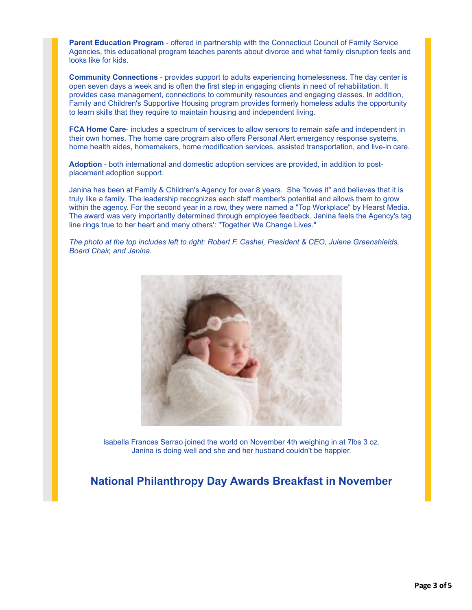**Parent Education Program** - offered in partnership with the Connecticut Council of Family Service Agencies, this educational program teaches parents about divorce and what family disruption feels and looks like for kids.

**Community Connections** - provides support to adults experiencing homelessness. The day center is open seven days a week and is often the first step in engaging clients in need of rehabilitation. It provides case management, connections to community resources and engaging classes. In addition, Family and Children's Supportive Housing program provides formerly homeless adults the opportunity to learn skills that they require to maintain housing and independent living.

**FCA Home Care**- includes a spectrum of services to allow seniors to remain safe and independent in their own homes. The home care program also offers Personal Alert emergency response systems, home health aides, homemakers, home modification services, assisted transportation, and live-in care.

**Adoption** - both international and domestic adoption services are provided, in addition to postplacement adoption support.

Janina has been at Family & Children's Agency for over 8 years. She "loves it" and believes that it is truly like a family. The leadership recognizes each staff member's potential and allows them to grow within the agency. For the second year in a row, they were named a "Top Workplace" by Hearst Media. The award was very importantly determined through employee feedback. Janina feels the Agency's tag line rings true to her heart and many others': "Together We Change Lives."

*The photo at the top includes left to right: Robert F. Cashel, President & CEO, Julene Greenshields, Board Chair, and Janina.*

![](_page_2_Picture_6.jpeg)

Isabella Frances Serrao joined the world on November 4th weighing in at 7lbs 3 oz. Janina is doing well and she and her husband couldn't be happier.

#### **National Philanthropy Day Awards Breakfast in November**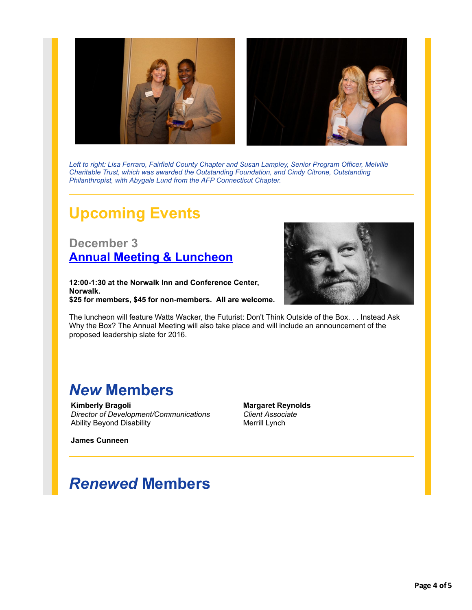![](_page_3_Picture_0.jpeg)

*Left to right: Lisa Ferraro, Fairfield County Chapter and Susan Lampley, Senior Program Officer, Melville Charitable Trust, which was awarded the Outstanding Foundation, and Cindy Citrone, Outstanding Philanthropist, with Abygale Lund from the AFP Connecticut Chapter.*

# **Upcoming Events**

**December 3 [Annual Meeting & Luncheon](http://r20.rs6.net/tn.jsp?f=0019v1YT1eSB0zXKP6Z72NZFUc6dxYgb80R2HaVxerEFMpNoTXb7lBIMLi6xMJwUsTjWULvPyA8cfAg4sQx2g_xur1QT1t4A5MoMh46QKh-SS-9HDQxpze58r7Fvj5YvgAU7ZFoXfHKtjOIekMbM8d3M1Tvo_MOoRWt8SzD4244PoukH2cWAbT5Pbg6C97tIXm1m-lEDIDNstk7_lcgaWjhsEPYM0eW0wY6HzEDppeG0lI=&c=kGkt0K2jXScxG9TZjPSBCOTarLuErrIPahc2RpGWP4XPtvuY4WAMUg==&ch=iOc_kB-6wswORUv6djkx6rm9V5h-KSt4m-GOMlHVoKWJpZI_YK32FQ==)**

**12:00-1:30 at the Norwalk Inn and Conference Center, Norwalk. \$25 for members, \$45 for non-members. All are welcome.**

![](_page_3_Picture_5.jpeg)

The luncheon will feature Watts Wacker, the Futurist: Don't Think Outside of the Box. . . Instead Ask Why the Box? The Annual Meeting will also take place and will include an announcement of the proposed leadership slate for 2016.

## *New* **Members**

**Kimberly Bragoli** *Director of Development/Communications* Ability Beyond Disability

**Margaret Reynolds** *Client Associate* Merrill Lynch

**James Cunneen**

## *Renewed* **Members**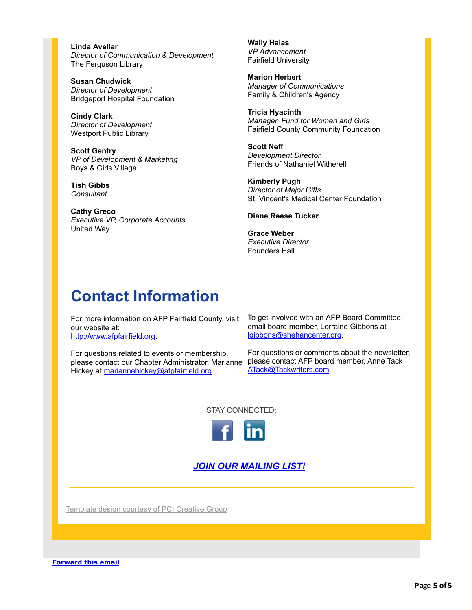**Linda Avellar** *Director of Communication & Development* The Ferguson Library

**Susan Chudwick** *Director of Development* Bridgeport Hospital Foundation

**Cindy Clark** *Director of Development* Westport Public Library

**Scott Gentry** *VP of Development & Marketing* Boys & Girls Village

**Tish Gibbs** *Consultant*

**Cathy Greco** *Executive VP, Corporate Accounts* United Way

**Wally Halas** *VP Advancement* Fairfield University

**Marion Herbert** *Manager of Communications* Family & Children's Agency

**Tricia Hyacinth** *Manager, Fund for Women and Girls* Fairfield County Community Foundation

**Scott Neff** *Development Director* Friends of Nathaniel Witherell

**Kimberly Pugh** *Director of Major Gifts* St. Vincent's Medical Center Foundation

**Diane Reese Tucker**

**Grace Weber** *Executive Director* Founders Hall

# **Contact Information**

For more information on AFP Fairfield County, visit our website at: [http://www.afpfairfield.org.](http://r20.rs6.net/tn.jsp?f=0019v1YT1eSB0zXKP6Z72NZFUc6dxYgb80R2HaVxerEFMpNoTXb7lBIMMq85YYSroPLq2kvdSLsMgJqnR0HBCmxwCd6lcRyOxVtviYmFs2tF7ECqxnJnORhw1jTH8j_0relkTTOeYUSc3N5OH-nl9i8ZgMUd3rxjNqb_fnXy01nA3o=&c=kGkt0K2jXScxG9TZjPSBCOTarLuErrIPahc2RpGWP4XPtvuY4WAMUg==&ch=iOc_kB-6wswORUv6djkx6rm9V5h-KSt4m-GOMlHVoKWJpZI_YK32FQ==)

For questions related to events or membership, please contact our Chapter Administrator, Marianne please contact AFP board member, Anne Tack Hickey at [mariannehickey@afpfairfield.org.](mailto:mariannehickey@afpfairfield.org)

To get involved with an AFP Board Committee, email board member, Lorraine Gibbons at [lgibbons@shehancenter.org.](mailto:lgibbons@shehancenter.org)

For questions or comments about the newsletter, [ATack@Tackwriters.com](mailto:ATack@Tackwriters.com).

STAY CONNECTED:

![](_page_4_Picture_19.jpeg)

#### *[JOIN OUR MAILING LIST!](http://visitor.r20.constantcontact.com/manage/optin/ea?v=001U2VyuwbHhrJJjOeTl9GZwQ%3D%3D)*

[Template design courtesy of PCI Creative Group](http://r20.rs6.net/tn.jsp?f=0019v1YT1eSB0zXKP6Z72NZFUc6dxYgb80R2HaVxerEFMpNoTXb7lBIMJEKUUQ2lvfetVjcX580XaE0Uoh1tIjujsLubQdEZVh8wUh8JY9x9ykSljUXCtdZUh2UDJ7lD_AZtJ2LwYeIeGelxq5Nhoscl-zWDxIhPD48_3dYoSajNDg=&c=kGkt0K2jXScxG9TZjPSBCOTarLuErrIPahc2RpGWP4XPtvuY4WAMUg==&ch=iOc_kB-6wswORUv6djkx6rm9V5h-KSt4m-GOMlHVoKWJpZI_YK32FQ==)